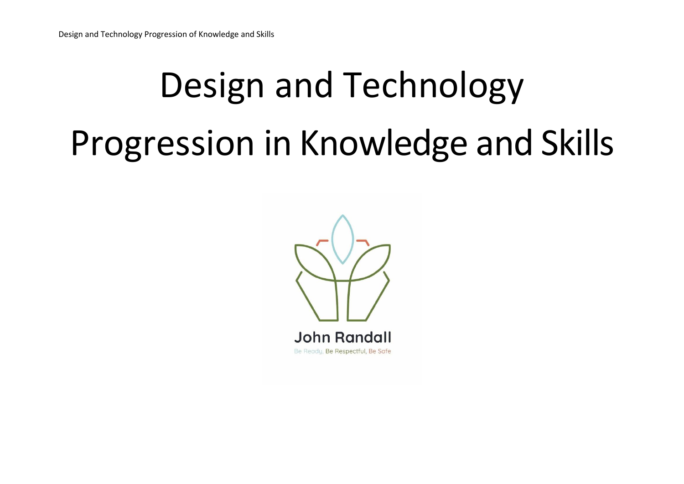## Design and Technology Progression in Knowledge and Skills

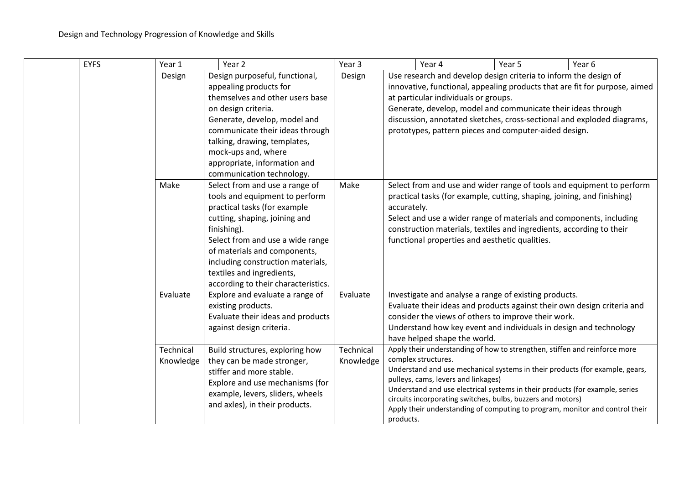| <b>EYFS</b> | Year 1                        | Year 2                                                                                                                                                                                                                                                                                                                        | Year 3                 |             | Year 4                                                                                                                                                                                                                                                                                       | Year 5 | Year 6                                                                                                                                                       |
|-------------|-------------------------------|-------------------------------------------------------------------------------------------------------------------------------------------------------------------------------------------------------------------------------------------------------------------------------------------------------------------------------|------------------------|-------------|----------------------------------------------------------------------------------------------------------------------------------------------------------------------------------------------------------------------------------------------------------------------------------------------|--------|--------------------------------------------------------------------------------------------------------------------------------------------------------------|
|             | Design                        | Design purposeful, functional,<br>appealing products for<br>themselves and other users base<br>on design criteria.<br>Generate, develop, model and<br>communicate their ideas through<br>talking, drawing, templates,<br>mock-ups and, where<br>appropriate, information and<br>communication technology.                     | Design                 |             | Use research and develop design criteria to inform the design of<br>at particular individuals or groups.<br>Generate, develop, model and communicate their ideas through<br>prototypes, pattern pieces and computer-aided design.                                                            |        | innovative, functional, appealing products that are fit for purpose, aimed<br>discussion, annotated sketches, cross-sectional and exploded diagrams,         |
|             | Make                          | Select from and use a range of<br>tools and equipment to perform<br>practical tasks (for example<br>cutting, shaping, joining and<br>finishing).<br>Select from and use a wide range<br>of materials and components,<br>including construction materials,<br>textiles and ingredients,<br>according to their characteristics. | Make                   | accurately. | practical tasks (for example, cutting, shaping, joining, and finishing)<br>Select and use a wider range of materials and components, including<br>construction materials, textiles and ingredients, according to their<br>functional properties and aesthetic qualities.                     |        | Select from and use and wider range of tools and equipment to perform                                                                                        |
|             | Evaluate                      | Explore and evaluate a range of<br>existing products.<br>Evaluate their ideas and products<br>against design criteria.                                                                                                                                                                                                        | Evaluate               |             | Investigate and analyse a range of existing products.<br>Evaluate their ideas and products against their own design criteria and<br>consider the views of others to improve their work.<br>Understand how key event and individuals in design and technology<br>have helped shape the world. |        |                                                                                                                                                              |
|             | <b>Technical</b><br>Knowledge | Build structures, exploring how<br>they can be made stronger,<br>stiffer and more stable.<br>Explore and use mechanisms (for<br>example, levers, sliders, wheels<br>and axles), in their products.                                                                                                                            | Technical<br>Knowledge | products.   | Apply their understanding of how to strengthen, stiffen and reinforce more<br>complex structures.<br>pulleys, cams, levers and linkages)<br>Understand and use electrical systems in their products (for example, series<br>circuits incorporating switches, bulbs, buzzers and motors)      |        | Understand and use mechanical systems in their products (for example, gears,<br>Apply their understanding of computing to program, monitor and control their |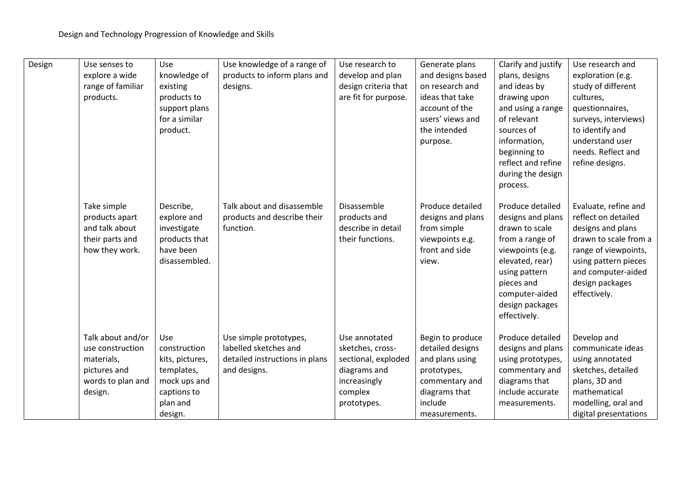| Design | Use senses to<br>explore a wide<br>range of familiar<br>products.                                   | Use<br>knowledge of<br>existing<br>products to<br>support plans<br>for a similar<br>product.               | Use knowledge of a range of<br>products to inform plans and<br>designs.                           | Use research to<br>develop and plan<br>design criteria that<br>are fit for purpose.                                | Generate plans<br>and designs based<br>on research and<br>ideas that take<br>account of the<br>users' views and<br>the intended<br>purpose. | Clarify and justify<br>plans, designs<br>and ideas by<br>drawing upon<br>and using a range<br>of relevant<br>sources of<br>information,<br>beginning to                                               | Use research and<br>exploration (e.g.<br>study of different<br>cultures,<br>questionnaires,<br>surveys, interviews)<br>to identify and<br>understand user<br>needs. Reflect and                    |
|--------|-----------------------------------------------------------------------------------------------------|------------------------------------------------------------------------------------------------------------|---------------------------------------------------------------------------------------------------|--------------------------------------------------------------------------------------------------------------------|---------------------------------------------------------------------------------------------------------------------------------------------|-------------------------------------------------------------------------------------------------------------------------------------------------------------------------------------------------------|----------------------------------------------------------------------------------------------------------------------------------------------------------------------------------------------------|
|        |                                                                                                     |                                                                                                            |                                                                                                   |                                                                                                                    |                                                                                                                                             | reflect and refine<br>during the design<br>process.                                                                                                                                                   | refine designs.                                                                                                                                                                                    |
|        | Take simple<br>products apart<br>and talk about<br>their parts and<br>how they work.                | Describe,<br>explore and<br>investigate<br>products that<br>have been<br>disassembled.                     | Talk about and disassemble<br>products and describe their<br>function.                            | Disassemble<br>products and<br>describe in detail<br>their functions.                                              | Produce detailed<br>designs and plans<br>from simple<br>viewpoints e.g.<br>front and side<br>view.                                          | Produce detailed<br>designs and plans<br>drawn to scale<br>from a range of<br>viewpoints (e.g.<br>elevated, rear)<br>using pattern<br>pieces and<br>computer-aided<br>design packages<br>effectively. | Evaluate, refine and<br>reflect on detailed<br>designs and plans<br>drawn to scale from a<br>range of viewpoints,<br>using pattern pieces<br>and computer-aided<br>design packages<br>effectively. |
|        | Talk about and/or<br>use construction<br>materials,<br>pictures and<br>words to plan and<br>design. | Use<br>construction<br>kits, pictures,<br>templates,<br>mock ups and<br>captions to<br>plan and<br>design. | Use simple prototypes,<br>labelled sketches and<br>detailed instructions in plans<br>and designs. | Use annotated<br>sketches, cross-<br>sectional, exploded<br>diagrams and<br>increasingly<br>complex<br>prototypes. | Begin to produce<br>detailed designs<br>and plans using<br>prototypes,<br>commentary and<br>diagrams that<br>include<br>measurements.       | Produce detailed<br>designs and plans<br>using prototypes,<br>commentary and<br>diagrams that<br>include accurate<br>measurements.                                                                    | Develop and<br>communicate ideas<br>using annotated<br>sketches, detailed<br>plans, 3D and<br>mathematical<br>modelling, oral and<br>digital presentations                                         |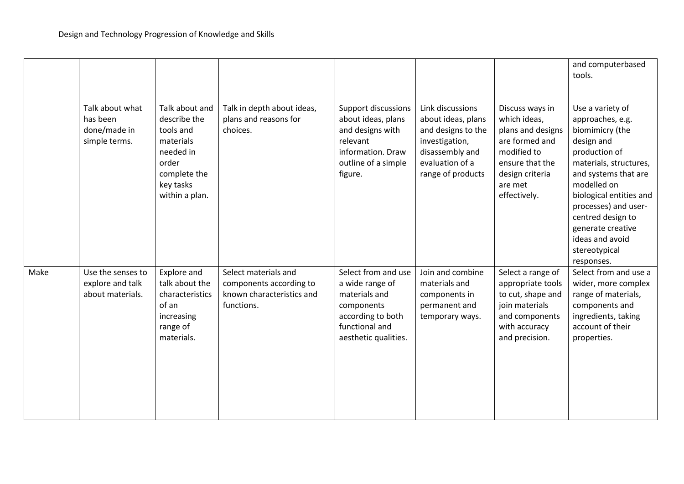|      | Talk about what<br>has been<br>done/made in<br>simple terms. | Talk about and<br>describe the<br>tools and<br>materials<br>needed in<br>order<br>complete the<br>key tasks<br>within a plan. | Talk in depth about ideas,<br>plans and reasons for<br>choices.                            | Support discussions<br>about ideas, plans<br>and designs with<br>relevant<br>information. Draw<br>outline of a simple<br>figure.     | Link discussions<br>about ideas, plans<br>and designs to the<br>investigation,<br>disassembly and<br>evaluation of a<br>range of products | Discuss ways in<br>which ideas,<br>plans and designs<br>are formed and<br>modified to<br>ensure that the<br>design criteria<br>are met<br>effectively. | and computerbased<br>tools.<br>Use a variety of<br>approaches, e.g.<br>biomimicry (the<br>design and<br>production of<br>materials, structures,<br>and systems that are<br>modelled on<br>biological entities and<br>processes) and user-<br>centred design to<br>generate creative<br>ideas and avoid<br>stereotypical<br>responses. |
|------|--------------------------------------------------------------|-------------------------------------------------------------------------------------------------------------------------------|--------------------------------------------------------------------------------------------|--------------------------------------------------------------------------------------------------------------------------------------|-------------------------------------------------------------------------------------------------------------------------------------------|--------------------------------------------------------------------------------------------------------------------------------------------------------|---------------------------------------------------------------------------------------------------------------------------------------------------------------------------------------------------------------------------------------------------------------------------------------------------------------------------------------|
| Make | Use the senses to<br>explore and talk<br>about materials.    | Explore and<br>talk about the<br>characteristics<br>of an<br>increasing<br>range of<br>materials.                             | Select materials and<br>components according to<br>known characteristics and<br>functions. | Select from and use<br>a wide range of<br>materials and<br>components<br>according to both<br>functional and<br>aesthetic qualities. | Join and combine<br>materials and<br>components in<br>permanent and<br>temporary ways.                                                    | Select a range of<br>appropriate tools<br>to cut, shape and<br>join materials<br>and components<br>with accuracy<br>and precision.                     | Select from and use a<br>wider, more complex<br>range of materials,<br>components and<br>ingredients, taking<br>account of their<br>properties.                                                                                                                                                                                       |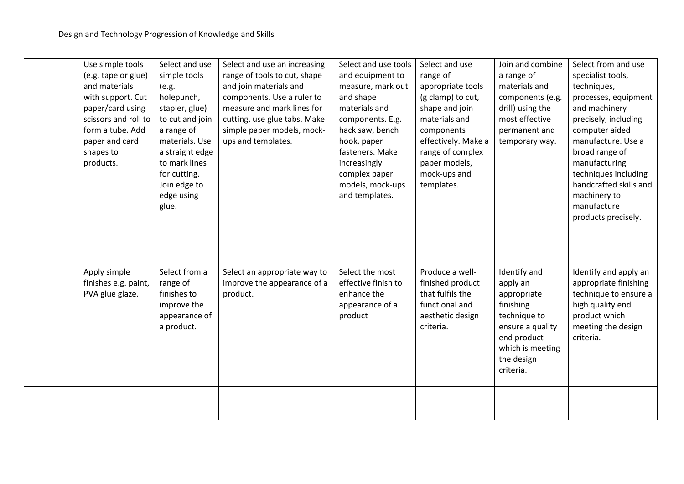| Use simple tools<br>(e.g. tape or glue)<br>and materials<br>with support. Cut<br>paper/card using<br>scissors and roll to<br>form a tube. Add<br>paper and card<br>shapes to<br>products. | Select and use<br>simple tools<br>(e.g.<br>holepunch,<br>stapler, glue)<br>to cut and join<br>a range of<br>materials. Use<br>a straight edge<br>to mark lines<br>for cutting.<br>Join edge to<br>edge using<br>glue. | Select and use an increasing<br>range of tools to cut, shape<br>and join materials and<br>components. Use a ruler to<br>measure and mark lines for<br>cutting, use glue tabs. Make<br>simple paper models, mock-<br>ups and templates. | Select and use tools<br>and equipment to<br>measure, mark out<br>and shape<br>materials and<br>components. E.g.<br>hack saw, bench<br>hook, paper<br>fasteners. Make<br>increasingly<br>complex paper<br>models, mock-ups<br>and templates. | Select and use<br>range of<br>appropriate tools<br>(g clamp) to cut,<br>shape and join<br>materials and<br>components<br>effectively. Make a<br>range of complex<br>paper models,<br>mock-ups and<br>templates. | Join and combine<br>a range of<br>materials and<br>components (e.g.<br>drill) using the<br>most effective<br>permanent and<br>temporary way.           | Select from and use<br>specialist tools,<br>techniques,<br>processes, equipment<br>and machinery<br>precisely, including<br>computer aided<br>manufacture. Use a<br>broad range of<br>manufacturing<br>techniques including<br>handcrafted skills and<br>machinery to<br>manufacture<br>products precisely. |
|-------------------------------------------------------------------------------------------------------------------------------------------------------------------------------------------|-----------------------------------------------------------------------------------------------------------------------------------------------------------------------------------------------------------------------|----------------------------------------------------------------------------------------------------------------------------------------------------------------------------------------------------------------------------------------|---------------------------------------------------------------------------------------------------------------------------------------------------------------------------------------------------------------------------------------------|-----------------------------------------------------------------------------------------------------------------------------------------------------------------------------------------------------------------|--------------------------------------------------------------------------------------------------------------------------------------------------------|-------------------------------------------------------------------------------------------------------------------------------------------------------------------------------------------------------------------------------------------------------------------------------------------------------------|
| Apply simple<br>finishes e.g. paint,<br>PVA glue glaze.                                                                                                                                   | Select from a<br>range of<br>finishes to<br>improve the<br>appearance of<br>a product.                                                                                                                                | Select an appropriate way to<br>improve the appearance of a<br>product.                                                                                                                                                                | Select the most<br>effective finish to<br>enhance the<br>appearance of a<br>product                                                                                                                                                         | Produce a well-<br>finished product<br>that fulfils the<br>functional and<br>aesthetic design<br>criteria.                                                                                                      | Identify and<br>apply an<br>appropriate<br>finishing<br>technique to<br>ensure a quality<br>end product<br>which is meeting<br>the design<br>criteria. | Identify and apply an<br>appropriate finishing<br>technique to ensure a<br>high quality end<br>product which<br>meeting the design<br>criteria.                                                                                                                                                             |
|                                                                                                                                                                                           |                                                                                                                                                                                                                       |                                                                                                                                                                                                                                        |                                                                                                                                                                                                                                             |                                                                                                                                                                                                                 |                                                                                                                                                        |                                                                                                                                                                                                                                                                                                             |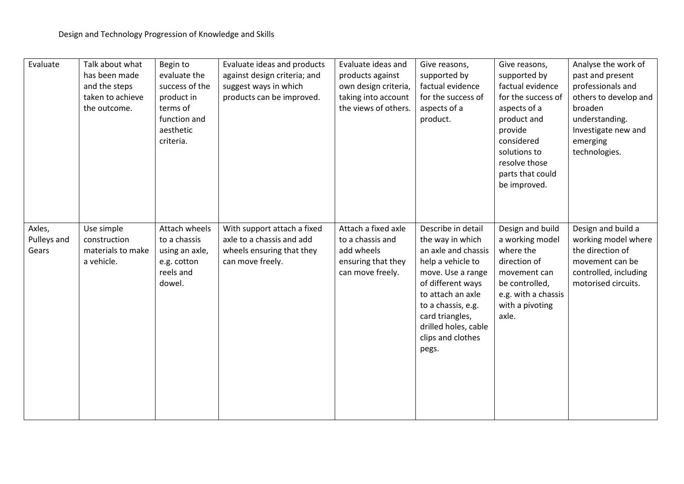| Evaluate                       | Talk about what<br>has been made<br>and the steps<br>taken to achieve<br>the outcome. | Begin to<br>evaluate the<br>success of the<br>product in<br>terms of<br>function and<br>aesthetic<br>criteria. | Evaluate ideas and products<br>against design criteria; and<br>suggest ways in which<br>products can be improved. | Evaluate ideas and<br>products against<br>own design criteria,<br>taking into account<br>the views of others. | Give reasons,<br>supported by<br>factual evidence<br>for the success of<br>aspects of a<br>product.                                                                                                                                              | Give reasons,<br>supported by<br>factual evidence<br>for the success of<br>aspects of a<br>product and<br>provide<br>considered<br>solutions to<br>resolve those<br>parts that could<br>be improved. | Analyse the work of<br>past and present<br>professionals and<br>others to develop and<br>broaden<br>understanding.<br>Investigate new and<br>emerging<br>technologies. |
|--------------------------------|---------------------------------------------------------------------------------------|----------------------------------------------------------------------------------------------------------------|-------------------------------------------------------------------------------------------------------------------|---------------------------------------------------------------------------------------------------------------|--------------------------------------------------------------------------------------------------------------------------------------------------------------------------------------------------------------------------------------------------|------------------------------------------------------------------------------------------------------------------------------------------------------------------------------------------------------|------------------------------------------------------------------------------------------------------------------------------------------------------------------------|
| Axles,<br>Pulleys and<br>Gears | Use simple<br>construction<br>materials to make<br>a vehicle.                         | Attach wheels<br>to a chassis<br>using an axle,<br>e.g. cotton<br>reels and<br>dowel.                          | With support attach a fixed<br>axle to a chassis and add<br>wheels ensuring that they<br>can move freely.         | Attach a fixed axle<br>to a chassis and<br>add wheels<br>ensuring that they<br>can move freely.               | Describe in detail<br>the way in which<br>an axle and chassis<br>help a vehicle to<br>move. Use a range<br>of different ways<br>to attach an axle<br>to a chassis, e.g.<br>card triangles,<br>drilled holes, cable<br>clips and clothes<br>pegs. | Design and build<br>a working model<br>where the<br>direction of<br>movement can<br>be controlled,<br>e.g. with a chassis<br>with a pivoting<br>axle.                                                | Design and build a<br>working model where<br>the direction of<br>movement can be<br>controlled, including<br>motorised circuits.                                       |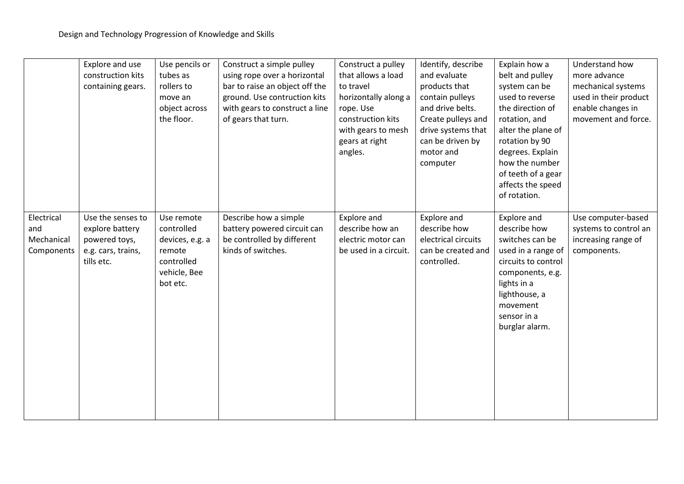|                                               | Explore and use<br>construction kits<br>containing gears.                                 | Use pencils or<br>tubes as<br>rollers to<br>move an<br>object across<br>the floor.              | Construct a simple pulley<br>using rope over a horizontal<br>bar to raise an object off the<br>ground. Use contruction kits<br>with gears to construct a line<br>of gears that turn. | Construct a pulley<br>that allows a load<br>to travel<br>horizontally along a<br>rope. Use<br>construction kits<br>with gears to mesh<br>gears at right<br>angles. | Identify, describe<br>and evaluate<br>products that<br>contain pulleys<br>and drive belts.<br>Create pulleys and<br>drive systems that<br>can be driven by<br>motor and<br>computer | Explain how a<br>belt and pulley<br>system can be<br>used to reverse<br>the direction of<br>rotation, and<br>alter the plane of<br>rotation by 90<br>degrees. Explain<br>how the number<br>of teeth of a gear<br>affects the speed<br>of rotation. | Understand how<br>more advance<br>mechanical systems<br>used in their product<br>enable changes in<br>movement and force. |
|-----------------------------------------------|-------------------------------------------------------------------------------------------|-------------------------------------------------------------------------------------------------|--------------------------------------------------------------------------------------------------------------------------------------------------------------------------------------|--------------------------------------------------------------------------------------------------------------------------------------------------------------------|-------------------------------------------------------------------------------------------------------------------------------------------------------------------------------------|----------------------------------------------------------------------------------------------------------------------------------------------------------------------------------------------------------------------------------------------------|---------------------------------------------------------------------------------------------------------------------------|
| Electrical<br>and<br>Mechanical<br>Components | Use the senses to<br>explore battery<br>powered toys,<br>e.g. cars, trains,<br>tills etc. | Use remote<br>controlled<br>devices, e.g. a<br>remote<br>controlled<br>vehicle, Bee<br>bot etc. | Describe how a simple<br>battery powered circuit can<br>be controlled by different<br>kinds of switches.                                                                             | Explore and<br>describe how an<br>electric motor can<br>be used in a circuit.                                                                                      | Explore and<br>describe how<br>electrical circuits<br>can be created and<br>controlled.                                                                                             | Explore and<br>describe how<br>switches can be<br>used in a range of<br>circuits to control<br>components, e.g.<br>lights in a<br>lighthouse, a<br>movement<br>sensor in a<br>burglar alarm.                                                       | Use computer-based<br>systems to control an<br>increasing range of<br>components.                                         |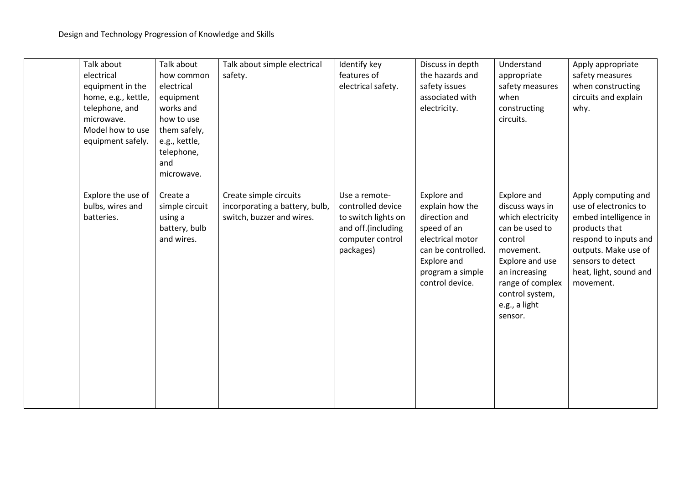| Talk about<br>electrical<br>equipment in the<br>home, e.g., kettle,<br>telephone, and<br>microwave.<br>Model how to use<br>equipment safely. | Talk about<br>how common<br>electrical<br>equipment<br>works and<br>how to use<br>them safely,<br>e.g., kettle,<br>telephone,<br>and | Talk about simple electrical<br>safety.                                               | Identify key<br>features of<br>electrical safety.                                                                | Discuss in depth<br>the hazards and<br>safety issues<br>associated with<br>electricity.                                                                        | Understand<br>appropriate<br>safety measures<br>when<br>constructing<br>circuits.                                                                                                                    | Apply appropriate<br>safety measures<br>when constructing<br>circuits and explain<br>why.                                                                                                           |
|----------------------------------------------------------------------------------------------------------------------------------------------|--------------------------------------------------------------------------------------------------------------------------------------|---------------------------------------------------------------------------------------|------------------------------------------------------------------------------------------------------------------|----------------------------------------------------------------------------------------------------------------------------------------------------------------|------------------------------------------------------------------------------------------------------------------------------------------------------------------------------------------------------|-----------------------------------------------------------------------------------------------------------------------------------------------------------------------------------------------------|
| Explore the use of<br>bulbs, wires and<br>batteries.                                                                                         | microwave.<br>Create a<br>simple circuit<br>using a<br>battery, bulb<br>and wires.                                                   | Create simple circuits<br>incorporating a battery, bulb,<br>switch, buzzer and wires. | Use a remote-<br>controlled device<br>to switch lights on<br>and off.(including<br>computer control<br>packages) | Explore and<br>explain how the<br>direction and<br>speed of an<br>electrical motor<br>can be controlled.<br>Explore and<br>program a simple<br>control device. | Explore and<br>discuss ways in<br>which electricity<br>can be used to<br>control<br>movement.<br>Explore and use<br>an increasing<br>range of complex<br>control system,<br>e.g., a light<br>sensor. | Apply computing and<br>use of electronics to<br>embed intelligence in<br>products that<br>respond to inputs and<br>outputs. Make use of<br>sensors to detect<br>heat, light, sound and<br>movement. |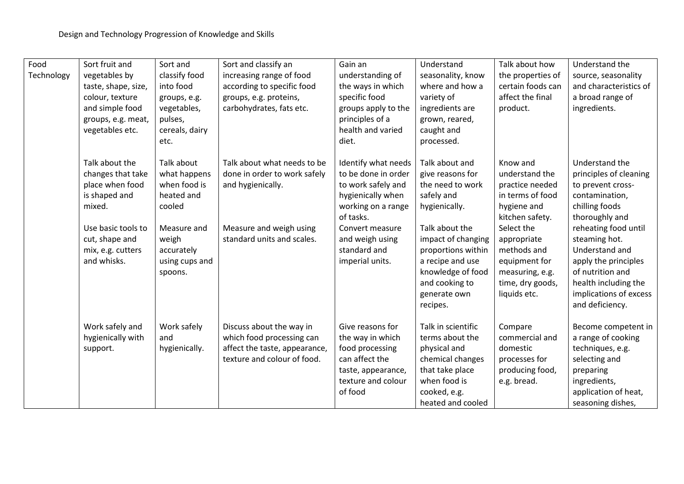| Food       | Sort fruit and      | Sort and       | Sort and classify an          | Gain an             | Understand         | Talk about how    | Understand the         |
|------------|---------------------|----------------|-------------------------------|---------------------|--------------------|-------------------|------------------------|
| Technology | vegetables by       | classify food  | increasing range of food      | understanding of    | seasonality, know  | the properties of | source, seasonality    |
|            | taste, shape, size, | into food      | according to specific food    | the ways in which   | where and how a    | certain foods can | and characteristics of |
|            | colour, texture     | groups, e.g.   | groups, e.g. proteins,        | specific food       | variety of         | affect the final  | a broad range of       |
|            | and simple food     | vegetables,    | carbohydrates, fats etc.      | groups apply to the | ingredients are    | product.          | ingredients.           |
|            | groups, e.g. meat,  | pulses,        |                               | principles of a     | grown, reared,     |                   |                        |
|            | vegetables etc.     | cereals, dairy |                               | health and varied   | caught and         |                   |                        |
|            |                     | etc.           |                               | diet.               | processed.         |                   |                        |
|            | Talk about the      | Talk about     | Talk about what needs to be   | Identify what needs | Talk about and     | Know and          | Understand the         |
|            | changes that take   | what happens   | done in order to work safely  | to be done in order | give reasons for   | understand the    | principles of cleaning |
|            | place when food     | when food is   | and hygienically.             | to work safely and  | the need to work   | practice needed   | to prevent cross-      |
|            | is shaped and       | heated and     |                               | hygienically when   | safely and         | in terms of food  | contamination,         |
|            | mixed.              | cooled         |                               | working on a range  | hygienically.      | hygiene and       | chilling foods         |
|            |                     |                |                               | of tasks.           |                    | kitchen safety.   | thoroughly and         |
|            | Use basic tools to  | Measure and    | Measure and weigh using       | Convert measure     | Talk about the     | Select the        | reheating food until   |
|            | cut, shape and      | weigh          | standard units and scales.    | and weigh using     | impact of changing | appropriate       | steaming hot.          |
|            | mix, e.g. cutters   | accurately     |                               | standard and        | proportions within | methods and       | Understand and         |
|            | and whisks.         | using cups and |                               | imperial units.     | a recipe and use   | equipment for     | apply the principles   |
|            |                     | spoons.        |                               |                     | knowledge of food  | measuring, e.g.   | of nutrition and       |
|            |                     |                |                               |                     | and cooking to     | time, dry goods,  | health including the   |
|            |                     |                |                               |                     | generate own       | liquids etc.      | implications of excess |
|            |                     |                |                               |                     | recipes.           |                   | and deficiency.        |
|            | Work safely and     | Work safely    | Discuss about the way in      | Give reasons for    | Talk in scientific | Compare           | Become competent in    |
|            | hygienically with   | and            | which food processing can     | the way in which    | terms about the    | commercial and    | a range of cooking     |
|            | support.            | hygienically.  | affect the taste, appearance, | food processing     | physical and       | domestic          | techniques, e.g.       |
|            |                     |                | texture and colour of food.   | can affect the      | chemical changes   | processes for     | selecting and          |
|            |                     |                |                               | taste, appearance,  | that take place    | producing food,   | preparing              |
|            |                     |                |                               | texture and colour  | when food is       | e.g. bread.       | ingredients,           |
|            |                     |                |                               | of food             | cooked, e.g.       |                   | application of heat,   |
|            |                     |                |                               |                     | heated and cooled  |                   | seasoning dishes,      |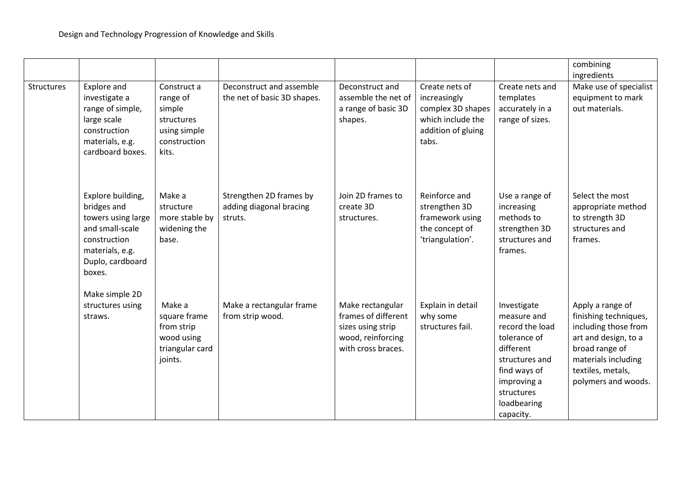|                   |                                                                                                                                            |                                                                                          |                                                               |                                                                                                         |                                                                                                         |                                                                                                                                                                       | combining<br>ingredients                                                                                                                                                       |
|-------------------|--------------------------------------------------------------------------------------------------------------------------------------------|------------------------------------------------------------------------------------------|---------------------------------------------------------------|---------------------------------------------------------------------------------------------------------|---------------------------------------------------------------------------------------------------------|-----------------------------------------------------------------------------------------------------------------------------------------------------------------------|--------------------------------------------------------------------------------------------------------------------------------------------------------------------------------|
| <b>Structures</b> | Explore and<br>investigate a<br>range of simple,<br>large scale<br>construction<br>materials, e.g.<br>cardboard boxes.                     | Construct a<br>range of<br>simple<br>structures<br>using simple<br>construction<br>kits. | Deconstruct and assemble<br>the net of basic 3D shapes.       | Deconstruct and<br>assemble the net of<br>a range of basic 3D<br>shapes.                                | Create nets of<br>increasingly<br>complex 3D shapes<br>which include the<br>addition of gluing<br>tabs. | Create nets and<br>templates<br>accurately in a<br>range of sizes.                                                                                                    | Make use of specialist<br>equipment to mark<br>out materials.                                                                                                                  |
|                   | Explore building,<br>bridges and<br>towers using large<br>and small-scale<br>construction<br>materials, e.g.<br>Duplo, cardboard<br>boxes. | Make a<br>structure<br>more stable by<br>widening the<br>base.                           | Strengthen 2D frames by<br>adding diagonal bracing<br>struts. | Join 2D frames to<br>create 3D<br>structures.                                                           | Reinforce and<br>strengthen 3D<br>framework using<br>the concept of<br>'triangulation'.                 | Use a range of<br>increasing<br>methods to<br>strengthen 3D<br>structures and<br>frames.                                                                              | Select the most<br>appropriate method<br>to strength 3D<br>structures and<br>frames.                                                                                           |
|                   | Make simple 2D<br>structures using<br>straws.                                                                                              | Make a<br>square frame<br>from strip<br>wood using<br>triangular card<br>joints.         | Make a rectangular frame<br>from strip wood.                  | Make rectangular<br>frames of different<br>sizes using strip<br>wood, reinforcing<br>with cross braces. | Explain in detail<br>why some<br>structures fail.                                                       | Investigate<br>measure and<br>record the load<br>tolerance of<br>different<br>structures and<br>find ways of<br>improving a<br>structures<br>loadbearing<br>capacity. | Apply a range of<br>finishing techniques,<br>including those from<br>art and design, to a<br>broad range of<br>materials including<br>textiles, metals,<br>polymers and woods. |